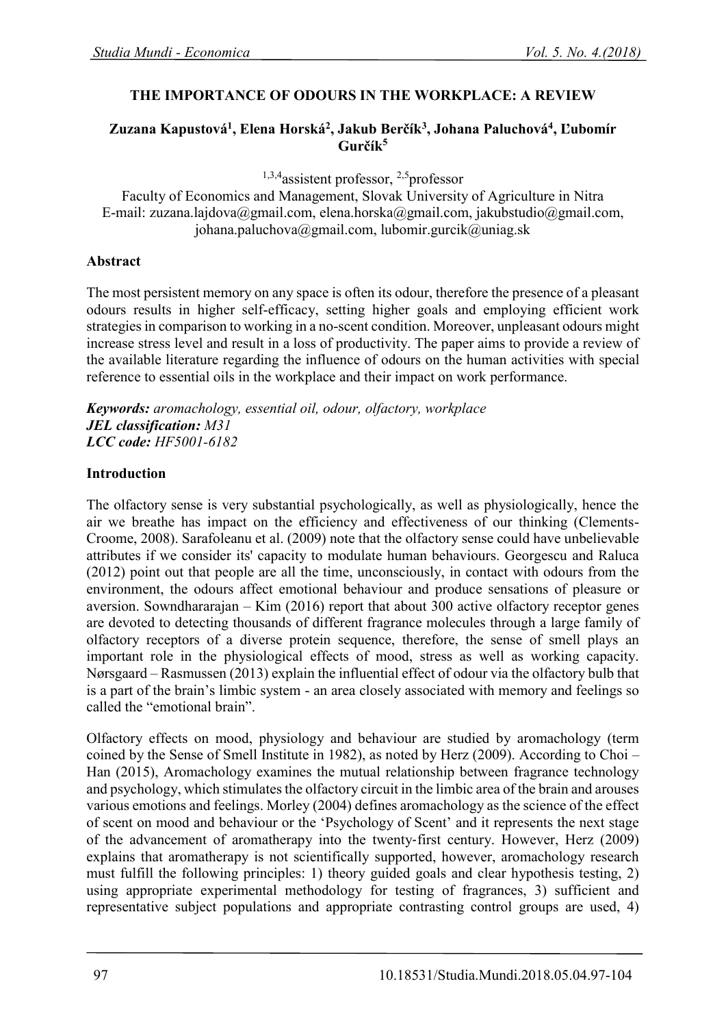## **THE IMPORTANCE OF ODOURS IN THE WORKPLACE: A REVIEW**

### **Zuzana Kapustová<sup>1</sup> , Elena Horská<sup>2</sup> , Jakub Berčík<sup>3</sup> , Johana Paluchová<sup>4</sup> , Ľubomír Gurčík<sup>5</sup>**

<sup>1,3,4</sup> assistent professor, <sup>2,5</sup> professor

Faculty of Economics and Management, Slovak University of Agriculture in Nitra E-mail: zuzana.lajdova@gmail.com, elena.horska@gmail.com, jakubstudio@gmail.com, johana.paluchova@gmail.com, lubomir.gurcik@uniag.sk

#### **Abstract**

The most persistent memory on any space is often its odour, therefore the presence of a pleasant odours results in higher self-efficacy, setting higher goals and employing efficient work strategies in comparison to working in a no-scent condition. Moreover, unpleasant odours might increase stress level and result in a loss of productivity. The paper aims to provide a review of the available literature regarding the influence of odours on the human activities with special reference to essential oils in the workplace and their impact on work performance.

*Keywords: aromachology, essential oil, odour, olfactory, workplace JEL classification: M31 LCC code: HF5001-6182*

### **Introduction**

The olfactory sense is very substantial psychologically, as well as physiologically, hence the air we breathe has impact on the efficiency and effectiveness of our thinking (Clements-Croome, 2008). Sarafoleanu et al. (2009) note that the olfactory sense could have unbelievable attributes if we consider its' capacity to modulate human behaviours. Georgescu and Raluca (2012) point out that people are all the time, unconsciously, in contact with odours from the environment, the odours affect emotional behaviour and produce sensations of pleasure or aversion. Sowndhararajan – Kim (2016) report that about 300 active olfactory receptor genes are devoted to detecting thousands of different fragrance molecules through a large family of olfactory receptors of a diverse protein sequence, therefore, the sense of smell plays an important role in the physiological effects of mood, stress as well as working capacity. Nørsgaard – Rasmussen (2013) explain the influential effect of odour via the olfactory bulb that is a part of the brain's limbic system - an area closely associated with memory and feelings so called the "emotional brain".

Olfactory effects on mood, physiology and behaviour are studied by aromachology (term coined by the Sense of Smell Institute in 1982), as noted by Herz (2009). According to Choi – Han (2015), Aromachology examines the mutual relationship between fragrance technology and psychology, which stimulates the olfactory circuit in the limbic area of the brain and arouses various emotions and feelings. Morley (2004) defines aromachology as the science of the effect of scent on mood and behaviour or the 'Psychology of Scent' and it represents the next stage of the advancement of aromatherapy into the twenty‐first century. However, Herz (2009) explains that aromatherapy is not scientifically supported, however, aromachology research must fulfill the following principles: 1) theory guided goals and clear hypothesis testing, 2) using appropriate experimental methodology for testing of fragrances, 3) sufficient and representative subject populations and appropriate contrasting control groups are used, 4)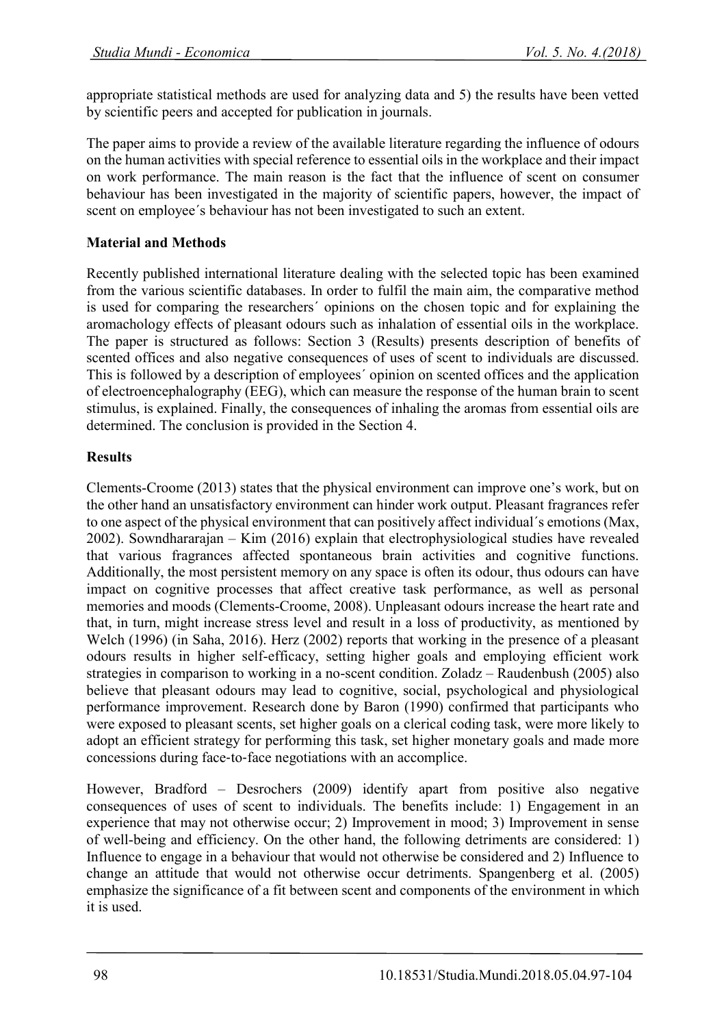appropriate statistical methods are used for analyzing data and 5) the results have been vetted by scientific peers and accepted for publication in journals.

The paper aims to provide a review of the available literature regarding the influence of odours on the human activities with special reference to essential oils in the workplace and their impact on work performance. The main reason is the fact that the influence of scent on consumer behaviour has been investigated in the majority of scientific papers, however, the impact of scent on employee´s behaviour has not been investigated to such an extent.

## **Material and Methods**

Recently published international literature dealing with the selected topic has been examined from the various scientific databases. In order to fulfil the main aim, the comparative method is used for comparing the researchers´ opinions on the chosen topic and for explaining the aromachology effects of pleasant odours such as inhalation of essential oils in the workplace. The paper is structured as follows: Section 3 (Results) presents description of benefits of scented offices and also negative consequences of uses of scent to individuals are discussed. This is followed by a description of employees´ opinion on scented offices and the application of electroencephalography (EEG), which can measure the response of the human brain to scent stimulus, is explained. Finally, the consequences of inhaling the aromas from essential oils are determined. The conclusion is provided in the Section 4.

## **Results**

Clements-Croome (2013) states that the physical environment can improve one's work, but on the other hand an unsatisfactory environment can hinder work output. Pleasant fragrances refer to one aspect of the physical environment that can positively affect individual´s emotions (Max, 2002). Sowndhararajan – Kim (2016) explain that electrophysiological studies have revealed that various fragrances affected spontaneous brain activities and cognitive functions. Additionally, the most persistent memory on any space is often its odour, thus odours can have impact on cognitive processes that affect creative task performance, as well as personal memories and moods (Clements-Croome, 2008). Unpleasant odours increase the heart rate and that, in turn, might increase stress level and result in a loss of productivity, as mentioned by Welch (1996) (in Saha, 2016). Herz (2002) reports that working in the presence of a pleasant odours results in higher self-efficacy, setting higher goals and employing efficient work strategies in comparison to working in a no-scent condition. Zoladz – Raudenbush (2005) also believe that pleasant odours may lead to cognitive, social, psychological and physiological performance improvement. Research done by Baron (1990) confirmed that participants who were exposed to pleasant scents, set higher goals on a clerical coding task, were more likely to adopt an efficient strategy for performing this task, set higher monetary goals and made more concessions during face‐to‐face negotiations with an accomplice.

However, Bradford – Desrochers (2009) identify apart from positive also negative consequences of uses of scent to individuals. The benefits include: 1) Engagement in an experience that may not otherwise occur; 2) Improvement in mood; 3) Improvement in sense of well-being and efficiency. On the other hand, the following detriments are considered: 1) Influence to engage in a behaviour that would not otherwise be considered and 2) Influence to change an attitude that would not otherwise occur detriments. Spangenberg et al. (2005) emphasize the significance of a fit between scent and components of the environment in which it is used.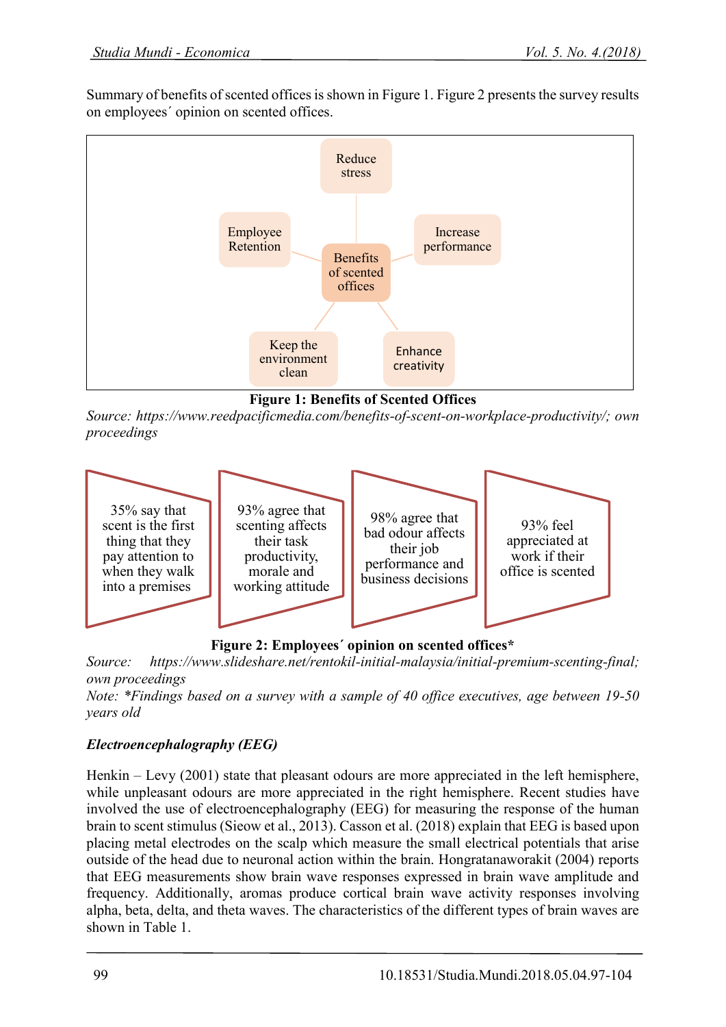Summary of benefits of scented offices is shown in Figure 1. Figure 2 presents the survey results on employees´ opinion on scented offices.



**Figure 1: Benefits of Scented Offices**

*Source: https://www.reedpacificmedia.com/benefits-of-scent-on-workplace-productivity/; own proceedings*



**Figure 2: Employees´ opinion on scented offices\***

*Source: https://www.slideshare.net/rentokil-initial-malaysia/initial-premium-scenting-final; own proceedings* 

*Note: \*Findings based on a survey with a sample of 40 office executives, age between 19-50 years old*

# *Electroencephalography (EEG)*

Henkin – Levy (2001) state that pleasant odours are more appreciated in the left hemisphere, while unpleasant odours are more appreciated in the right hemisphere. Recent studies have involved the use of electroencephalography (EEG) for measuring the response of the human brain to scent stimulus (Sieow et al., 2013). Casson et al. (2018) explain that EEG is based upon placing metal electrodes on the scalp which measure the small electrical potentials that arise outside of the head due to neuronal action within the brain. Hongratanaworakit (2004) reports that EEG measurements show brain wave responses expressed in brain wave amplitude and frequency. Additionally, aromas produce cortical brain wave activity responses involving alpha, beta, delta, and theta waves. The characteristics of the different types of brain waves are shown in Table 1.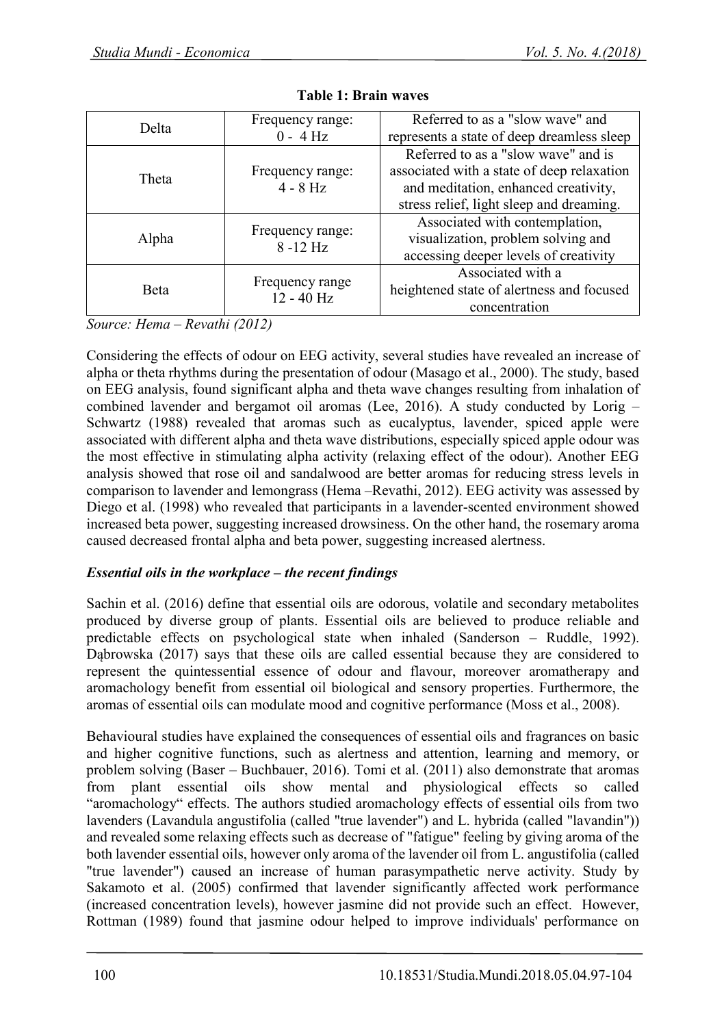| Delta        | Frequency range:                | Referred to as a "slow wave" and           |  |
|--------------|---------------------------------|--------------------------------------------|--|
|              | $0 - 4 Hz$                      | represents a state of deep dreamless sleep |  |
| <b>Theta</b> |                                 | Referred to as a "slow wave" and is        |  |
|              | Frequency range:                | associated with a state of deep relaxation |  |
|              | $4 - 8$ Hz                      | and meditation, enhanced creativity,       |  |
|              |                                 | stress relief, light sleep and dreaming.   |  |
| Alpha        | Frequency range:<br>$8 - 12$ Hz | Associated with contemplation,             |  |
|              |                                 | visualization, problem solving and         |  |
|              |                                 | accessing deeper levels of creativity      |  |
| <b>B</b> eta | Frequency range<br>$12 - 40$ Hz | Associated with a                          |  |
|              |                                 | heightened state of alertness and focused  |  |
|              |                                 | concentration                              |  |

|  | Table 1: Brain waves |
|--|----------------------|
|  |                      |

*Source: Hema – Revathi (2012)*

Considering the effects of odour on EEG activity, several studies have revealed an increase of alpha or theta rhythms during the presentation of odour (Masago et al., 2000). The study, based on EEG analysis, found significant alpha and theta wave changes resulting from inhalation of combined lavender and bergamot oil aromas (Lee, 2016). A study conducted by Lorig – Schwartz (1988) revealed that aromas such as eucalyptus, lavender, spiced apple were associated with different alpha and theta wave distributions, especially spiced apple odour was the most effective in stimulating alpha activity (relaxing effect of the odour). Another EEG analysis showed that rose oil and sandalwood are better aromas for reducing stress levels in comparison to lavender and lemongrass (Hema –Revathi, 2012). EEG activity was assessed by Diego et al. (1998) who revealed that participants in a lavender-scented environment showed increased beta power, suggesting increased drowsiness. On the other hand, the rosemary aroma caused decreased frontal alpha and beta power, suggesting increased alertness.

## *Essential oils in the workplace – the recent findings*

Sachin et al. (2016) define that essential oils are odorous, volatile and secondary metabolites produced by diverse group of plants. Essential oils are believed to produce reliable and predictable effects on psychological state when inhaled (Sanderson – Ruddle, 1992). Dąbrowska (2017) says that these oils are called essential because they are considered to represent the quintessential essence of odour and flavour, moreover aromatherapy and aromachology benefit from essential oil biological and sensory properties. Furthermore, the aromas of essential oils can modulate mood and cognitive performance (Moss et al., 2008).

Behavioural studies have explained the consequences of essential oils and fragrances on basic and higher cognitive functions, such as alertness and attention, learning and memory, or problem solving (Baser – Buchbauer, 2016). Tomi et al. (2011) also demonstrate that aromas from plant essential oils show mental and physiological effects so called "aromachology" effects. The authors studied aromachology effects of essential oils from two lavenders (Lavandula angustifolia (called "true lavender") and L. hybrida (called "lavandin")) and revealed some relaxing effects such as decrease of "fatigue" feeling by giving aroma of the both lavender essential oils, however only aroma of the lavender oil from L. angustifolia (called "true lavender") caused an increase of human parasympathetic nerve activity. Study by Sakamoto et al. (2005) confirmed that lavender significantly affected work performance (increased concentration levels), however jasmine did not provide such an effect. However, Rottman (1989) found that jasmine odour helped to improve individuals' performance on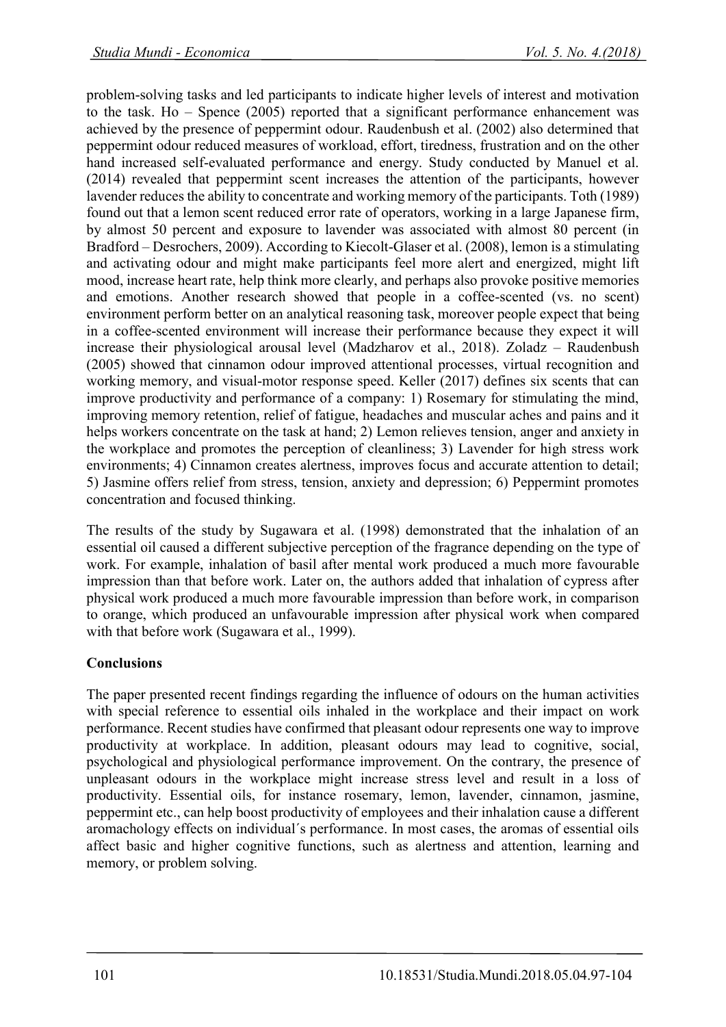problem-solving tasks and led participants to indicate higher levels of interest and motivation to the task. Ho – Spence (2005) reported that a significant performance enhancement was achieved by the presence of peppermint odour. Raudenbush et al. (2002) also determined that peppermint odour reduced measures of workload, effort, tiredness, frustration and on the other hand increased self-evaluated performance and energy. Study conducted by Manuel et al. (2014) revealed that peppermint scent increases the attention of the participants, however lavender reduces the ability to concentrate and working memory of the participants. Toth (1989) found out that a lemon scent reduced error rate of operators, working in a large Japanese firm, by almost 50 percent and exposure to lavender was associated with almost 80 percent (in Bradford – Desrochers, 2009). According to Kiecolt-Glaser et al. (2008), lemon is a stimulating and activating odour and might make participants feel more alert and energized, might lift mood, increase heart rate, help think more clearly, and perhaps also provoke positive memories and emotions. Another research showed that people in a coffee-scented (vs. no scent) environment perform better on an analytical reasoning task, moreover people expect that being in a coffee-scented environment will increase their performance because they expect it will increase their physiological arousal level (Madzharov et al., 2018). Zoladz – Raudenbush (2005) showed that cinnamon odour improved attentional processes, virtual recognition and working memory, and visual-motor response speed. Keller (2017) defines six scents that can improve productivity and performance of a company: 1) Rosemary for stimulating the mind, improving memory retention, relief of fatigue, headaches and muscular aches and pains and it helps workers concentrate on the task at hand; 2) Lemon relieves tension, anger and anxiety in the workplace and promotes the perception of cleanliness; 3) Lavender for high stress work environments; 4) Cinnamon creates alertness, improves focus and accurate attention to detail; 5) Jasmine offers relief from stress, tension, anxiety and depression; 6) Peppermint promotes concentration and focused thinking.

The results of the study by Sugawara et al. (1998) demonstrated that the inhalation of an essential oil caused a different subjective perception of the fragrance depending on the type of work. For example, inhalation of basil after mental work produced a much more favourable impression than that before work. Later on, the authors added that inhalation of cypress after physical work produced a much more favourable impression than before work, in comparison to orange, which produced an unfavourable impression after physical work when compared with that before work (Sugawara et al., 1999).

## **Conclusions**

The paper presented recent findings regarding the influence of odours on the human activities with special reference to essential oils inhaled in the workplace and their impact on work performance. Recent studies have confirmed that pleasant odour represents one way to improve productivity at workplace. In addition, pleasant odours may lead to cognitive, social, psychological and physiological performance improvement. On the contrary, the presence of unpleasant odours in the workplace might increase stress level and result in a loss of productivity. Essential oils, for instance rosemary, lemon, lavender, cinnamon, jasmine, peppermint etc., can help boost productivity of employees and their inhalation cause a different aromachology effects on individual´s performance. In most cases, the aromas of essential oils affect basic and higher cognitive functions, such as alertness and attention, learning and memory, or problem solving.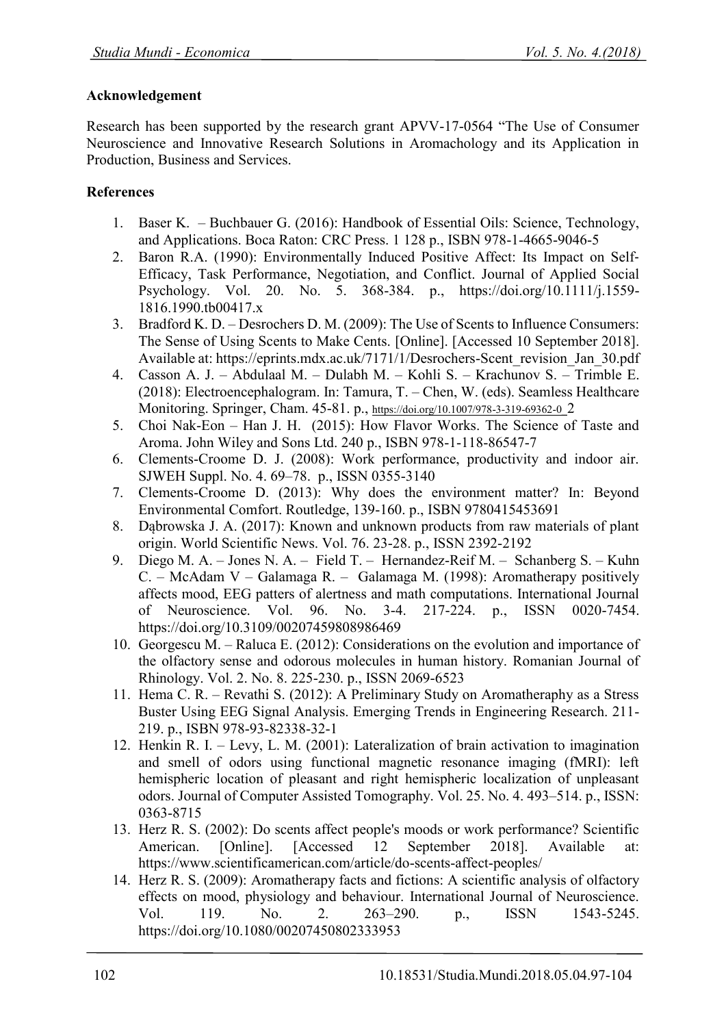### **Acknowledgement**

Research has been supported by the research grant APVV-17-0564 "The Use of Consumer Neuroscience and Innovative Research Solutions in Aromachology and its Application in Production, Business and Services.

## **References**

- 1. Baser K. Buchbauer G. (2016): Handbook of Essential Oils: Science, Technology, and Applications. Boca Raton: CRC Press. 1 128 p., ISBN 978-1-4665-9046-5
- 2. Baron R.A. (1990): Environmentally Induced Positive Affect: Its Impact on Self‐ Efficacy, Task Performance, Negotiation, and Conflict. Journal of Applied Social Psychology. Vol. 20. No. 5. 368-384. p., https://doi.org/10.1111/j.1559- 1816.1990.tb00417.x
- 3. Bradford K. D. Desrochers D. M. (2009): The Use of Scents to Influence Consumers: The Sense of Using Scents to Make Cents. [Online]. [Accessed 10 September 2018]. Available at: https://eprints.mdx.ac.uk/7171/1/Desrochers-Scent\_revision\_Jan\_30.pdf
- 4. Casson A. J. Abdulaal M. Dulabh M. Kohli S. Krachunov S. Trimble E. (2018): Electroencephalogram. In: Tamura, T. – Chen, W. (eds). Seamless Healthcare Monitoring. Springer, Cham. 45-81. p., [https://doi.org/10.1007/978-3-319-69362-0\\_](https://doi.org/10.1007/978-3-319-69362-0_)2
- 5. Choi Nak-Eon Han J. H. (2015): How Flavor Works. The Science of Taste and Aroma. John Wiley and Sons Ltd. 240 p., ISBN 978-1-118-86547-7
- 6. Clements-Croome D. J. (2008): Work performance, productivity and indoor air. SJWEH Suppl. No. 4. 69–78. p., ISSN 0355-3140
- 7. Clements-Croome D. (2013): Why does the environment matter? In: Beyond Environmental Comfort. Routledge, 139-160. p., ISBN 9780415453691
- 8. Dąbrowska J. A. (2017): Known and unknown products from raw materials of plant origin. World Scientific News. Vol. 76. 23-28. p., ISSN 2392-2192
- 9. Diego M. A. Jones N. A. Field T. Hernandez-Reif M. Schanberg S. Kuhn C. – McAdam V – Galamaga R. – Galamaga M. (1998): Aromatherapy positively affects mood, EEG patters of alertness and math computations. International Journal of Neuroscience. Vol. 96. No. 3-4. 217-224. p., ISSN 0020-7454. https://doi.org/10.3109/00207459808986469
- 10. Georgescu M. Raluca E. (2012): Considerations on the evolution and importance of the olfactory sense and odorous molecules in human history. Romanian Journal of Rhinology. Vol. 2. No. 8. 225-230. p., ISSN 2069-6523
- 11. Hema C. R. Revathi S. (2012): A Preliminary Study on Aromatheraphy as a Stress Buster Using EEG Signal Analysis. Emerging Trends in Engineering Research. 211- 219. p., ISBN 978-93-82338-32-1
- 12. Henkin R. I. Levy, L. M. (2001): Lateralization of brain activation to imagination and smell of odors using functional magnetic resonance imaging (fMRI): left hemispheric location of pleasant and right hemispheric localization of unpleasant odors. Journal of Computer Assisted Tomography. Vol. 25. No. 4. 493–514. p., ISSN: 0363-8715
- 13. Herz R. S. (2002): Do scents affect people's moods or work performance? Scientific American. [Online]. [Accessed 12 September 2018]. Available at: https://www.scientificamerican.com/article/do-scents-affect-peoples/
- 14. Herz R. S. (2009): Aromatherapy facts and fictions: A scientific analysis of olfactory effects on mood, physiology and behaviour. International Journal of Neuroscience. Vol. 119. No. 2. 263–290. p., ISSN 1543-5245. https://doi.org/10.1080/00207450802333953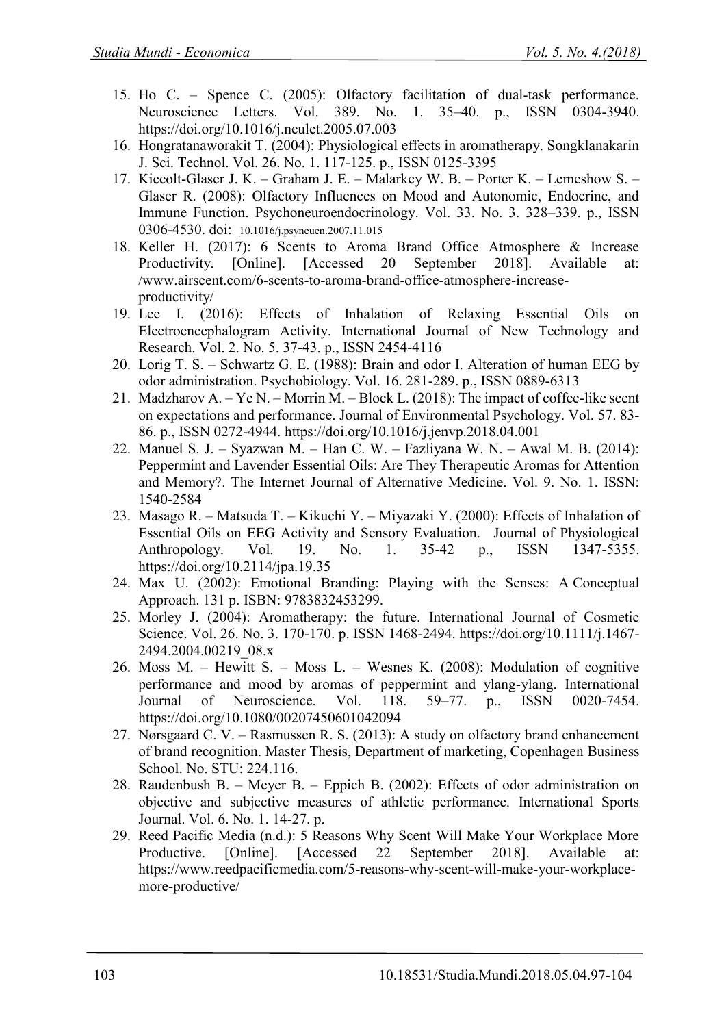- 15. Ho C. Spence C. (2005): Olfactory facilitation of dual-task performance. Neuroscience Letters. Vol. 389. No. 1. 35–40. p., ISSN 0304-3940. https://doi.org/10.1016/j.neulet.2005.07.003
- 16. Hongratanaworakit T. (2004): Physiological effects in aromatherapy. Songklanakarin J. Sci. Technol. Vol. 26. No. 1. 117-125. p., ISSN 0125-3395
- 17. Kiecolt-Glaser J. K. Graham J. E. Malarkey W. B. Porter K. Lemeshow S. Glaser R. (2008): Olfactory Influences on Mood and Autonomic, Endocrine, and Immune Function. [Psychoneuroendocrinology. Vol. 33. No. 3. 328](https://www.ncbi.nlm.nih.gov/entrez/eutils/elink.fcgi?dbfrom=pubmed&retmode=ref&cmd=prlinks&id=18178322)–339. p., ISSN 0306-4530. doi: [10.1016/j.psyneuen.2007.11.015](https://dx.doi.org/10.1016%2Fj.psyneuen.2007.11.015)
- 18. Keller H. (2017): 6 Scents to Aroma Brand Office Atmosphere & Increase Productivity. [Online]. [Accessed 20 September 2018]. Available at: /www.airscent.com/6-scents-to-aroma-brand-office-atmosphere-increaseproductivity/
- 19. Lee I. (2016): Effects of Inhalation of Relaxing Essential Oils on Electroencephalogram Activity. International Journal of New Technology and Research. Vol. 2. No. 5. 37-43. p., ISSN 2454-4116
- 20. Lorig T. S. Schwartz G. E. (1988): Brain and odor I. Alteration of human EEG by odor administration. Psychobiology. Vol. 16. 281-289. p., ISSN 0889-6313
- 21. Madzharov A. Ye N. Morrin M. Block L. (2018): The impact of coffee-like scent on expectations and performance. Journal of Environmental Psychology. Vol. 57. 83- 86. p., ISSN 0272-4944. https://doi.org/10.1016/j.jenvp.2018.04.001
- 22. Manuel S. J. Syazwan M. Han C. W. Fazliyana W. N. Awal M. B. (2014): Peppermint and Lavender Essential Oils: Are They Therapeutic Aromas for Attention and Memory?. The Internet Journal of Alternative Medicine. Vol. 9. No. 1. ISSN: 1540-2584
- 23. Masago R. Matsuda T. Kikuchi Y. Miyazaki Y. (2000): Effects of Inhalation of Essential Oils on EEG Activity and Sensory Evaluation. Journal of Physiological Anthropology. Vol. 19. No. 1. 35-42 p., ISSN 1347-5355. https://doi.org/10.2114/jpa.19.35
- 24. Max U. (2002): Emotional Branding: Playing with the Senses: A Conceptual Approach. 131 p. ISBN: 9783832453299.
- 25. Morley J. (2004): Aromatherapy: the future. International Journal of Cosmetic Science. Vol. 26. No. 3. 170-170. p. ISSN 1468-2494. https://doi.org/10.1111/j.1467- 2494.2004.00219\_08.x
- 26. Moss M. Hewitt S. Moss L. Wesnes K. (2008): Modulation of cognitive performance and mood by aromas of peppermint and ylang-ylang. International Journal of Neuroscience. Vol. 118. 59–77. p., ISSN 0020-7454. https://doi.org/10.1080/00207450601042094
- 27. Nørsgaard C. V. Rasmussen R. S. (2013): A study on olfactory brand enhancement of brand recognition. Master Thesis, Department of marketing, Copenhagen Business School. No. STU: 224.116.
- 28. Raudenbush B. Meyer B. Eppich B. (2002): Effects of odor administration on objective and subjective measures of athletic performance. International Sports Journal. Vol. 6. No. 1. 14-27. p.
- 29. Reed Pacific Media (n.d.): 5 Reasons Why Scent Will Make Your Workplace More Productive. [Online]. [Accessed 22 September 2018]. Available at: https://www.reedpacificmedia.com/5-reasons-why-scent-will-make-your-workplacemore-productive/